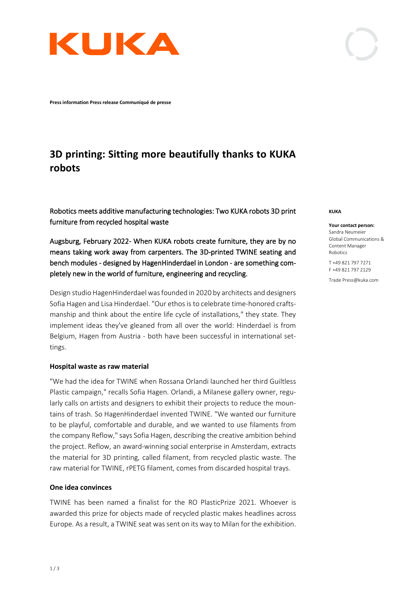

**Press information Press release Communiqué de presse**

# **3D printing: Sitting more beautifully thanks to KUKA robots**

Robotics meets additive manufacturing technologies: Two KUKA robots 3D print furniture from recycled hospital waste

Augsburg, February 2022- When KUKA robots create furniture, they are by no means taking work away from carpenters. The 3D-printed TWINE seating and bench modules - designed by HagenHinderdael in London - are something completely new in the world of furniture, engineering and recycling.

Design studio HagenHinderdael was founded in 2020 by architects and designers Sofia Hagen and Lisa Hinderdael. "Our ethos is to celebrate time-honored craftsmanship and think about the entire life cycle of installations," they state. They implement ideas they've gleaned from all over the world: Hinderdael is from Belgium, Hagen from Austria - both have been successful in international settings.

#### **Hospital waste as raw material**

"We had the idea for TWINE when Rossana Orlandi launched her third Guiltless Plastic campaign," recalls Sofia Hagen. Orlandi, a Milanese gallery owner, regularly calls on artists and designers to exhibit their projects to reduce the mountains of trash. So HagenHinderdael invented TWINE. "We wanted our furniture to be playful, comfortable and durable, and we wanted to use filaments from the company Reflow," says Sofia Hagen, describing the creative ambition behind the project. Reflow, an award-winning social enterprise in Amsterdam, extracts the material for 3D printing, called filament, from recycled plastic waste. The raw material for TWINE, rPETG filament, comes from discarded hospital trays.

## **One idea convinces**

TWINE has been named a finalist for the RO PlasticPrize 2021. Whoever is awarded this prize for objects made of recycled plastic makes headlines across Europe. As a result, a TWINE seat was sent on its way to Milan for the exhibition.

#### **KUKA**

Robotics

**Your contact person:** Sandra Neumeier Global Communications & Content Manager

T +49 821 797 7271 F +49 821 797 2129

Trade Press@kuka.com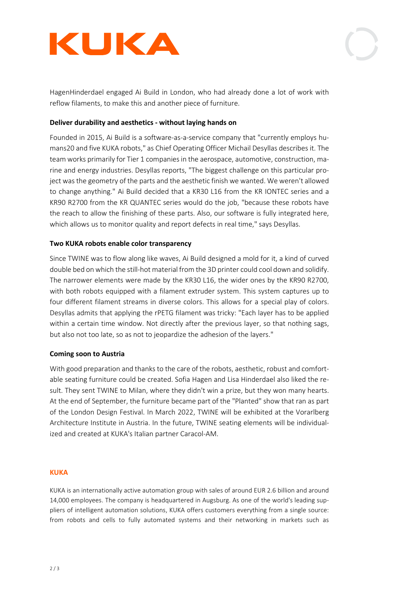



HagenHinderdael engaged Ai Build in London, who had already done a lot of work with reflow filaments, to make this and another piece of furniture.

# **Deliver durability and aesthetics - without laying hands on**

Founded in 2015, Ai Build is a software-as-a-service company that "currently employs humans20 and five KUKA robots," as Chief Operating Officer Michail Desyllas describes it. The team works primarily for Tier 1 companies in the aerospace, automotive, construction, marine and energy industries. Desyllas reports, "The biggest challenge on this particular project was the geometry of the parts and the aesthetic finish we wanted. We weren't allowed to change anything." Ai Build decided that a KR30 L16 from the KR IONTEC series and a KR90 R2700 from the KR QUANTEC series would do the job, "because these robots have the reach to allow the finishing of these parts. Also, our software is fully integrated here, which allows us to monitor quality and report defects in real time," says Desyllas.

## **Two KUKA robots enable color transparency**

Since TWINE was to flow along like waves, Ai Build designed a mold for it, a kind of curved double bed on which the still-hot material from the 3D printer could cool down and solidify. The narrower elements were made by the KR30 L16, the wider ones by the KR90 R2700, with both robots equipped with a filament extruder system. This system captures up to four different filament streams in diverse colors. This allows for a special play of colors. Desyllas admits that applying the rPETG filament was tricky: "Each layer has to be applied within a certain time window. Not directly after the previous layer, so that nothing sags, but also not too late, so as not to jeopardize the adhesion of the layers."

## **Coming soon to Austria**

With good preparation and thanks to the care of the robots, aesthetic, robust and comfortable seating furniture could be created. Sofia Hagen and Lisa Hinderdael also liked the result. They sent TWINE to Milan, where they didn't win a prize, but they won many hearts. At the end of September, the furniture became part of the "Planted" show that ran as part of the London Design Festival. In March 2022, TWINE will be exhibited at the Vorarlberg Architecture Institute in Austria. In the future, TWINE seating elements will be individualized and created at KUKA's Italian partner Caracol-AM.

#### **KUKA**

KUKA is an internationally active automation group with sales of around EUR 2.6 billion and around 14,000 employees. The company is headquartered in Augsburg. As one of the world's leading suppliers of intelligent automation solutions, KUKA offers customers everything from a single source: from robots and cells to fully automated systems and their networking in markets such as